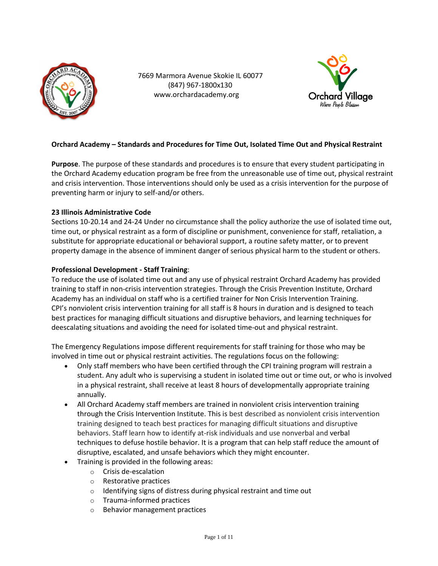

 7669 Marmora Avenue Skokie IL 60077 (847) 967-1800x130 www.orchardacademy.org



# **Orchard Academy – Standards and Procedures for Time Out, Isolated Time Out and Physical Restraint**

**Purpose**. The purpose of these standards and procedures is to ensure that every student participating in the Orchard Academy education program be free from the unreasonable use of time out, physical restraint and crisis intervention. Those interventions should only be used as a crisis intervention for the purpose of preventing harm or injury to self-and/or others.

# **23 Illinois Administrative Code**

Sections 10-20.14 and 24-24 Under no circumstance shall the policy authorize the use of isolated time out, time out, or physical restraint as a form of discipline or punishment, convenience for staff, retaliation, a substitute for appropriate educational or behavioral support, a routine safety matter, or to prevent property damage in the absence of imminent danger of serious physical harm to the student or others.

# **Professional Development - Staff Training**:

To reduce the use of isolated time out and any use of physical restraint Orchard Academy has provided training to staff in non-crisis intervention strategies. Through the Crisis Prevention Institute, Orchard Academy has an individual on staff who is a certified trainer for Non Crisis Intervention Training. CPI's nonviolent crisis intervention training for all staff is 8 hours in duration and is designed to teach best practices for managing difficult situations and disruptive behaviors, and learning techniques for deescalating situations and avoiding the need for isolated time-out and physical restraint.

The Emergency Regulations impose different requirements for staff training for those who may be involved in time out or physical restraint activities. The regulations focus on the following:

- Only staff members who have been certified through the CPI training program will restrain a student. Any adult who is supervising a student in isolated time out or time out, or who is involved in a physical restraint, shall receive at least 8 hours of developmentally appropriate training annually.
- All Orchard Academy staff members are trained in nonviolent crisis intervention training through the Crisis Intervention Institute. This is best described as nonviolent crisis intervention training designed to teach best practices for managing difficult situations and disruptive behaviors. Staff learn how to identify at-risk individuals and use nonverbal and verbal techniques to defuse hostile behavior. It is a program that can help staff reduce the amount of disruptive, escalated, and unsafe behaviors which they might encounter.
- Training is provided in the following areas:
	- o Crisis de-escalation
	- o Restorative practices
	- $\circ$  Identifying signs of distress during physical restraint and time out
	- o Trauma-informed practices
	- o Behavior management practices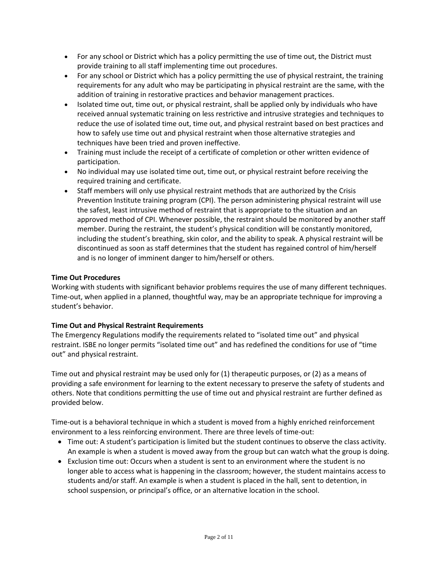- For any school or District which has a policy permitting the use of time out, the District must provide training to all staff implementing time out procedures.
- For any school or District which has a policy permitting the use of physical restraint, the training requirements for any adult who may be participating in physical restraint are the same, with the addition of training in restorative practices and behavior management practices.
- Isolated time out, time out, or physical restraint, shall be applied only by individuals who have received annual systematic training on less restrictive and intrusive strategies and techniques to reduce the use of isolated time out, time out, and physical restraint based on best practices and how to safely use time out and physical restraint when those alternative strategies and techniques have been tried and proven ineffective.
- Training must include the receipt of a certificate of completion or other written evidence of participation.
- No individual may use isolated time out, time out, or physical restraint before receiving the required training and certificate.
- Staff members will only use physical restraint methods that are authorized by the Crisis Prevention Institute training program (CPI). The person administering physical restraint will use the safest, least intrusive method of restraint that is appropriate to the situation and an approved method of CPI. Whenever possible, the restraint should be monitored by another staff member. During the restraint, the student's physical condition will be constantly monitored, including the student's breathing, skin color, and the ability to speak. A physical restraint will be discontinued as soon as staff determines that the student has regained control of him/herself and is no longer of imminent danger to him/herself or others.

# **Time Out Procedures**

Working with students with significant behavior problems requires the use of many different techniques. Time-out, when applied in a planned, thoughtful way, may be an appropriate technique for improving a student's behavior.

## **Time Out and Physical Restraint Requirements**

The Emergency Regulations modify the requirements related to "isolated time out" and physical restraint. ISBE no longer permits "isolated time out" and has redefined the conditions for use of "time out" and physical restraint.

Time out and physical restraint may be used only for (1) therapeutic purposes, or (2) as a means of providing a safe environment for learning to the extent necessary to preserve the safety of students and others. Note that conditions permitting the use of time out and physical restraint are further defined as provided below.

Time-out is a behavioral technique in which a student is moved from a highly enriched reinforcement environment to a less reinforcing environment. There are three levels of time-out:

- Time out: A student's participation is limited but the student continues to observe the class activity. An example is when a student is moved away from the group but can watch what the group is doing.
- Exclusion time out: Occurs when a student is sent to an environment where the student is no longer able to access what is happening in the classroom; however, the student maintains access to students and/or staff. An example is when a student is placed in the hall, sent to detention, in school suspension, or principal's office, or an alternative location in the school.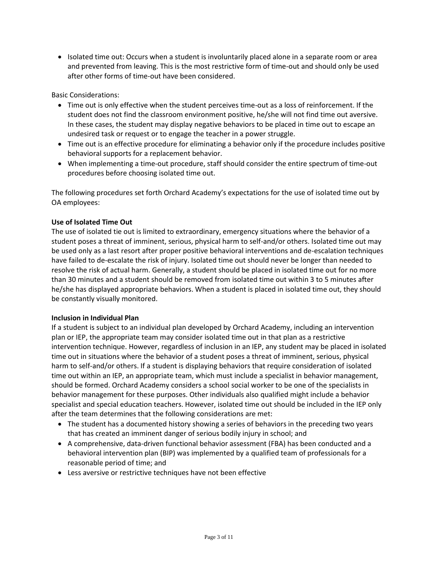• Isolated time out: Occurs when a student is involuntarily placed alone in a separate room or area and prevented from leaving. This is the most restrictive form of time-out and should only be used after other forms of time-out have been considered.

Basic Considerations:

- Time out is only effective when the student perceives time-out as a loss of reinforcement. If the student does not find the classroom environment positive, he/she will not find time out aversive. In these cases, the student may display negative behaviors to be placed in time out to escape an undesired task or request or to engage the teacher in a power struggle.
- Time out is an effective procedure for eliminating a behavior only if the procedure includes positive behavioral supports for a replacement behavior.
- When implementing a time-out procedure, staff should consider the entire spectrum of time-out procedures before choosing isolated time out.

The following procedures set forth Orchard Academy's expectations for the use of isolated time out by OA employees:

## **Use of Isolated Time Out**

The use of isolated tie out is limited to extraordinary, emergency situations where the behavior of a student poses a threat of imminent, serious, physical harm to self-and/or others. Isolated time out may be used only as a last resort after proper positive behavioral interventions and de-escalation techniques have failed to de-escalate the risk of injury. Isolated time out should never be longer than needed to resolve the risk of actual harm. Generally, a student should be placed in isolated time out for no more than 30 minutes and a student should be removed from isolated time out within 3 to 5 minutes after he/she has displayed appropriate behaviors. When a student is placed in isolated time out, they should be constantly visually monitored.

### **Inclusion in Individual Plan**

If a student is subject to an individual plan developed by Orchard Academy, including an intervention plan or IEP, the appropriate team may consider isolated time out in that plan as a restrictive intervention technique. However, regardless of inclusion in an IEP, any student may be placed in isolated time out in situations where the behavior of a student poses a threat of imminent, serious, physical harm to self-and/or others. If a student is displaying behaviors that require consideration of isolated time out within an IEP, an appropriate team, which must include a specialist in behavior management, should be formed. Orchard Academy considers a school social worker to be one of the specialists in behavior management for these purposes. Other individuals also qualified might include a behavior specialist and special education teachers. However, isolated time out should be included in the IEP only after the team determines that the following considerations are met:

- The student has a documented history showing a series of behaviors in the preceding two years that has created an imminent danger of serious bodily injury in school; and
- A comprehensive, data-driven functional behavior assessment (FBA) has been conducted and a behavioral intervention plan (BIP) was implemented by a qualified team of professionals for a reasonable period of time; and
- Less aversive or restrictive techniques have not been effective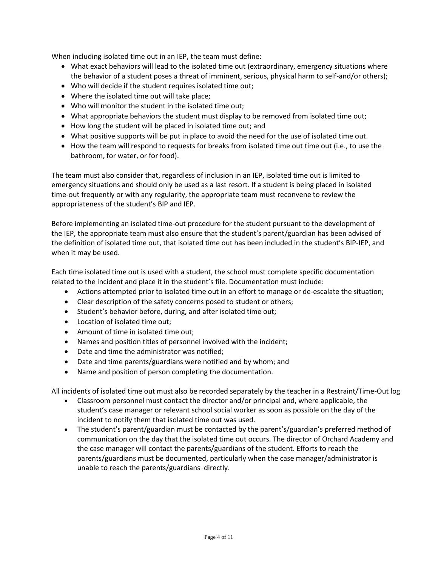When including isolated time out in an IEP, the team must define:

- What exact behaviors will lead to the isolated time out (extraordinary, emergency situations where the behavior of a student poses a threat of imminent, serious, physical harm to self-and/or others);
- Who will decide if the student requires isolated time out;
- Where the isolated time out will take place;
- Who will monitor the student in the isolated time out;
- What appropriate behaviors the student must display to be removed from isolated time out;
- How long the student will be placed in isolated time out; and
- What positive supports will be put in place to avoid the need for the use of isolated time out.
- How the team will respond to requests for breaks from isolated time out time out (i.e., to use the bathroom, for water, or for food).

The team must also consider that, regardless of inclusion in an IEP, isolated time out is limited to emergency situations and should only be used as a last resort. If a student is being placed in isolated time-out frequently or with any regularity, the appropriate team must reconvene to review the appropriateness of the student's BIP and IEP.

Before implementing an isolated time-out procedure for the student pursuant to the development of the IEP, the appropriate team must also ensure that the student's parent/guardian has been advised of the definition of isolated time out, that isolated time out has been included in the student's BIP-IEP, and when it may be used.

Each time isolated time out is used with a student, the school must complete specific documentation related to the incident and place it in the student's file. Documentation must include:

- Actions attempted prior to isolated time out in an effort to manage or de-escalate the situation;
- Clear description of the safety concerns posed to student or others;
- Student's behavior before, during, and after isolated time out;
- Location of isolated time out;
- Amount of time in isolated time out;
- Names and position titles of personnel involved with the incident;
- Date and time the administrator was notified;
- Date and time parents/guardians were notified and by whom; and
- Name and position of person completing the documentation.

All incidents of isolated time out must also be recorded separately by the teacher in a Restraint/Time-Out log

- Classroom personnel must contact the director and/or principal and, where applicable, the student's case manager or relevant school social worker as soon as possible on the day of the incident to notify them that isolated time out was used.
- The student's parent/guardian must be contacted by the parent's/guardian's preferred method of communication on the day that the isolated time out occurs. The director of Orchard Academy and the case manager will contact the parents/guardians of the student. Efforts to reach the parents/guardians must be documented, particularly when the case manager/administrator is unable to reach the parents/guardians directly.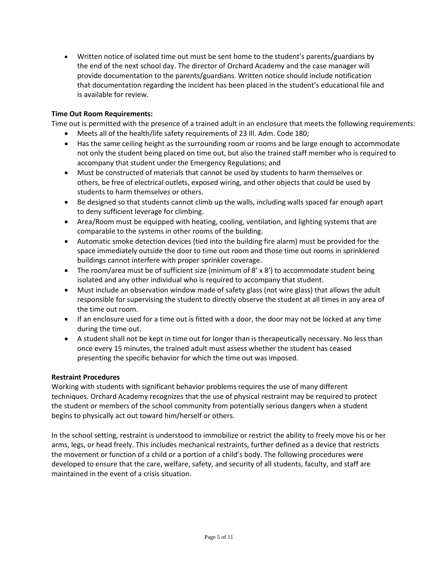• Written notice of isolated time out must be sent home to the student's parents/guardians by the end of the next school day. The director of Orchard Academy and the case manager will provide documentation to the parents/guardians. Written notice should include notification that documentation regarding the incident has been placed in the student's educational file and is available for review.

# **Time Out Room Requirements:**

Time out is permitted with the presence of a trained adult in an enclosure that meets the following requirements:

- Meets all of the health/life safety requirements of 23 Ill. Adm. Code 180;
- Has the same ceiling height as the surrounding room or rooms and be large enough to accommodate not only the student being placed on time out, but also the trained staff member who is required to accompany that student under the Emergency Regulations; and
- Must be constructed of materials that cannot be used by students to harm themselves or others, be free of electrical outlets, exposed wiring, and other objects that could be used by students to harm themselves or others.
- Be designed so that students cannot climb up the walls, including walls spaced far enough apart to deny sufficient leverage for climbing.
- Area/Room must be equipped with heating, cooling, ventilation, and lighting systems that are comparable to the systems in other rooms of the building.
- Automatic smoke detection devices (tied into the building fire alarm) must be provided for the space immediately outside the door to time out room and those time out rooms in sprinklered buildings cannot interfere with proper sprinkler coverage.
- The room/area must be of sufficient size (minimum of 8' x 8') to accommodate student being isolated and any other individual who is required to accompany that student.
- Must include an observation window made of safety glass (not wire glass) that allows the adult responsible for supervising the student to directly observe the student at all times in any area of the time out room.
- If an enclosure used for a time out is fitted with a door, the door may not be locked at any time during the time out.
- A student shall not be kept in time out for longer than is therapeutically necessary. No less than once every 15 minutes, the trained adult must assess whether the student has ceased presenting the specific behavior for which the time out was imposed.

## **Restraint Procedures**

Working with students with significant behavior problems requires the use of many different techniques. Orchard Academy recognizes that the use of physical restraint may be required to protect the student or members of the school community from potentially serious dangers when a student begins to physically act out toward him/herself or others.

In the school setting, restraint is understood to immobilize or restrict the ability to freely move his or her arms, legs, or head freely. This includes mechanical restraints, further defined as a device that restricts the movement or function of a child or a portion of a child's body. The following procedures were developed to ensure that the care, welfare, safety, and security of all students, faculty, and staff are maintained in the event of a crisis situation.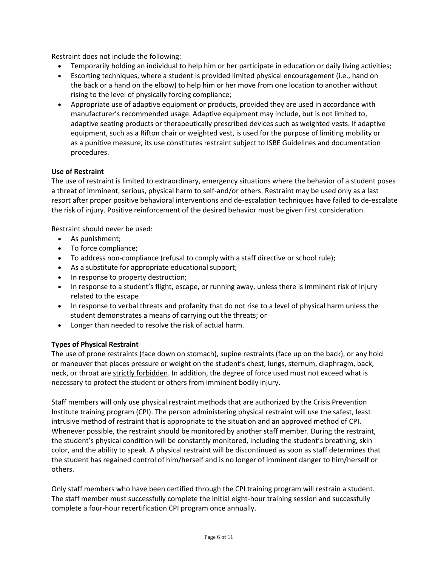Restraint does not include the following:

- Temporarily holding an individual to help him or her participate in education or daily living activities;
- Escorting techniques, where a student is provided limited physical encouragement (i.e., hand on the back or a hand on the elbow) to help him or her move from one location to another without rising to the level of physically forcing compliance;
- Appropriate use of adaptive equipment or products, provided they are used in accordance with manufacturer's recommended usage. Adaptive equipment may include, but is not limited to, adaptive seating products or therapeutically prescribed devices such as weighted vests. If adaptive equipment, such as a Rifton chair or weighted vest, is used for the purpose of limiting mobility or as a punitive measure, its use constitutes restraint subject to ISBE Guidelines and documentation procedures.

# **Use of Restraint**

The use of restraint is limited to extraordinary, emergency situations where the behavior of a student poses a threat of imminent, serious, physical harm to self-and/or others. Restraint may be used only as a last resort after proper positive behavioral interventions and de-escalation techniques have failed to de-escalate the risk of injury. Positive reinforcement of the desired behavior must be given first consideration.

Restraint should never be used:

- As punishment;
- To force compliance;
- To address non-compliance (refusal to comply with a staff directive or school rule);
- As a substitute for appropriate educational support;
- In response to property destruction;
- In response to a student's flight, escape, or running away, unless there is imminent risk of injury related to the escape
- In response to verbal threats and profanity that do not rise to a level of physical harm unless the student demonstrates a means of carrying out the threats; or
- Longer than needed to resolve the risk of actual harm.

## **Types of Physical Restraint**

The use of prone restraints (face down on stomach), supine restraints (face up on the back), or any hold or maneuver that places pressure or weight on the student's chest, lungs, sternum, diaphragm, back, neck, or throat are strictly forbidden. In addition, the degree of force used must not exceed what is necessary to protect the student or others from imminent bodily injury.

Staff members will only use physical restraint methods that are authorized by the Crisis Prevention Institute training program (CPI). The person administering physical restraint will use the safest, least intrusive method of restraint that is appropriate to the situation and an approved method of CPI. Whenever possible, the restraint should be monitored by another staff member. During the restraint, the student's physical condition will be constantly monitored, including the student's breathing, skin color, and the ability to speak. A physical restraint will be discontinued as soon as staff determines that the student has regained control of him/herself and is no longer of imminent danger to him/herself or others.

Only staff members who have been certified through the CPI training program will restrain a student. The staff member must successfully complete the initial eight-hour training session and successfully complete a four-hour recertification CPI program once annually.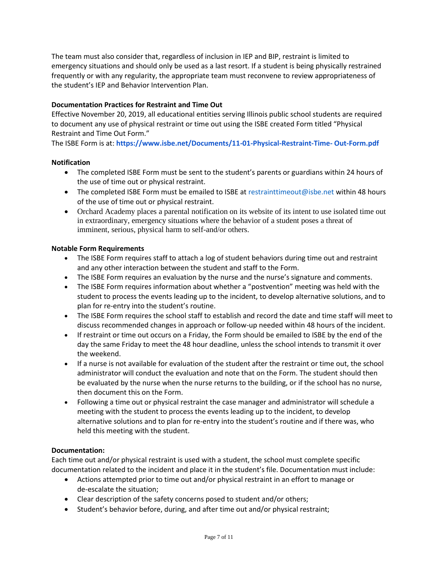The team must also consider that, regardless of inclusion in IEP and BIP, restraint is limited to emergency situations and should only be used as a last resort. If a student is being physically restrained frequently or with any regularity, the appropriate team must reconvene to review appropriateness of the student's IEP and Behavior Intervention Plan.

# **Documentation Practices for Restraint and Time Out**

Effective November 20, 2019, all educational entities serving Illinois public school students are required to document any use of physical restraint or time out using the ISBE created Form titled "Physical Restraint and Time Out Form."

The ISBE Form is at: **https://www.isbe.net/Documents/11-01-Physical-Restraint-Time- Out-Form.pdf** 

### **Notification**

- The completed ISBE Form must be sent to the student's parents or guardians within 24 hours of the use of time out or physical restraint.
- The completed ISBE Form must be emailed to ISBE at restrainttimeout@isbe.net within 48 hours of the use of time out or physical restraint.
- Orchard Academy places a parental notification on its website of its intent to use isolated time out in extraordinary, emergency situations where the behavior of a student poses a threat of imminent, serious, physical harm to self-and/or others.

### **Notable Form Requirements**

- The ISBE Form requires staff to attach a log of student behaviors during time out and restraint and any other interaction between the student and staff to the Form.
- The ISBE Form requires an evaluation by the nurse and the nurse's signature and comments.
- The ISBE Form requires information about whether a "postvention" meeting was held with the student to process the events leading up to the incident, to develop alternative solutions, and to plan for re-entry into the student's routine.
- The ISBE Form requires the school staff to establish and record the date and time staff will meet to discuss recommended changes in approach or follow-up needed within 48 hours of the incident.
- If restraint or time out occurs on a Friday, the Form should be emailed to ISBE by the end of the day the same Friday to meet the 48 hour deadline, unless the school intends to transmit it over the weekend.
- If a nurse is not available for evaluation of the student after the restraint or time out, the school administrator will conduct the evaluation and note that on the Form. The student should then be evaluated by the nurse when the nurse returns to the building, or if the school has no nurse, then document this on the Form.
- Following a time out or physical restraint the case manager and administrator will schedule a meeting with the student to process the events leading up to the incident, to develop alternative solutions and to plan for re-entry into the student's routine and if there was, who held this meeting with the student.

## **Documentation:**

Each time out and/or physical restraint is used with a student, the school must complete specific documentation related to the incident and place it in the student's file. Documentation must include:

- Actions attempted prior to time out and/or physical restraint in an effort to manage or de-escalate the situation;
- Clear description of the safety concerns posed to student and/or others;
- Student's behavior before, during, and after time out and/or physical restraint;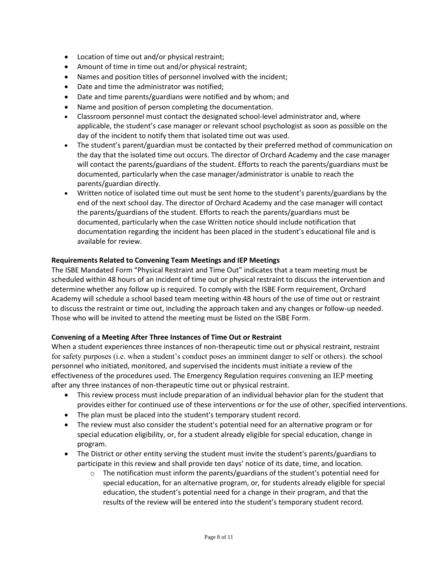- Location of time out and/or physical restraint;
- Amount of time in time out and/or physical restraint;
- Names and position titles of personnel involved with the incident;
- Date and time the administrator was notified;
- Date and time parents/guardians were notified and by whom; and
- Name and position of person completing the documentation.
- Classroom personnel must contact the designated school-level administrator and, where applicable, the student's case manager or relevant school psychologist as soon as possible on the day of the incident to notify them that isolated time out was used.
- The student's parent/guardian must be contacted by their preferred method of communication on the day that the isolated time out occurs. The director of Orchard Academy and the case manager will contact the parents/guardians of the student. Efforts to reach the parents/guardians must be documented, particularly when the case manager/administrator is unable to reach the parents/guardian directly.
- Written notice of isolated time out must be sent home to the student's parents/guardians by the end of the next school day. The director of Orchard Academy and the case manager will contact the parents/guardians of the student. Efforts to reach the parents/guardians must be documented, particularly when the case Written notice should include notification that documentation regarding the incident has been placed in the student's educational file and is available for review.

### **Requirements Related to Convening Team Meetings and IEP Meetings**

The ISBE Mandated Form "Physical Restraint and Time Out" indicates that a team meeting must be scheduled within 48 hours of an incident of time out or physical restraint to discuss the intervention and determine whether any follow up is required. To comply with the ISBE Form requirement, Orchard Academy will schedule a school based team meeting within 48 hours of the use of time out or restraint to discuss the restraint or time out, including the approach taken and any changes or follow-up needed. Those who will be invited to attend the meeting must be listed on the ISBE Form.

### **Convening of a Meeting After Three Instances of Time Out or Restraint**

When a student experiences three instances of non-therapeutic time out or physical restraint, restraint for safety purposes (i.e. when a student's conduct poses an imminent danger to self or others). the school personnel who initiated, monitored, and supervised the incidents must initiate a review of the effectiveness of the procedures used. The Emergency Regulation requires convening an IEP meeting after any three instances of non-therapeutic time out or physical restraint.

- This review process must include preparation of an individual behavior plan for the student that provides either for continued use of these interventions or for the use of other, specified interventions.
- The plan must be placed into the student's temporary student record.
- The review must also consider the student's potential need for an alternative program or for special education eligibility, or, for a student already eligible for special education, change in program.
- The District or other entity serving the student must invite the student's parents/guardians to participate in this review and shall provide ten days' notice of its date, time, and location.
	- $\circ$  The notification must inform the parents/guardians of the student's potential need for special education, for an alternative program, or, for students already eligible for special education, the student's potential need for a change in their program, and that the results of the review will be entered into the student's temporary student record.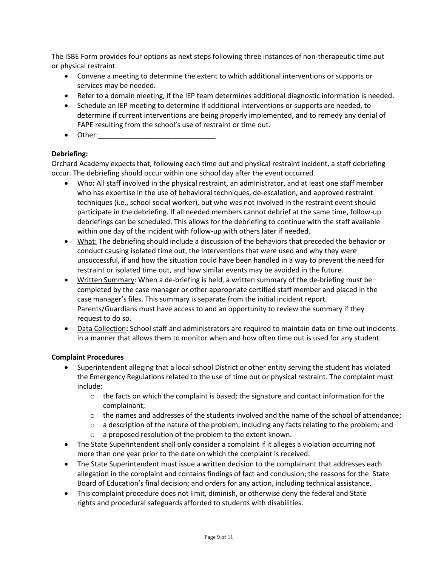The ISBE Form provides four options as next steps following three instances of non-therapeutic time out or physical restraint.

- Convene a meeting to determine the extent to which additional interventions or supports or services may be needed.
- Refer to a domain meeting, if the IEP team determines additional diagnostic information is needed.
- Schedule an IEP meeting to determine if additional interventions or supports are needed, to determine if current interventions are being properly implemented, and to remedy any denial of FAPE resulting from the school's use of restraint or time out.
- $\bullet$  Other:

# **Debriefing:**

Orchard Academy expects that, following each time out and physical restraint incident, a staff debriefing occur. The debriefing should occur within one school day after the event occurred.

- Who**:** All staff involved in the physical restraint, an administrator, and at least one staff member who has expertise in the use of behavioral techniques, de-escalation, and approved restraint techniques (i.e., school social worker), but who was not involved in the restraint event should participate in the debriefing. If all needed members cannot debrief at the same time, follow-up debriefings can be scheduled. This allows for the debriefing to continue with the staff available within one day of the incident with follow-up with others later if needed.
- What: The debriefing should include a discussion of the behaviors that preceded the behavior or conduct causing isolated time out, the interventions that were used and why they were unsuccessful, if and how the situation could have been handled in a way to prevent the need for restraint or isolated time out, and how similar events may be avoided in the future.
- Written Summary: When a de-briefing is held, a written summary of the de-briefing must be completed by the case manager or other appropriate certified staff member and placed in the case manager's files. This summary is separate from the initial incident report. Parents/Guardians must have access to and an opportunity to review the summary if they request to do so.
- Data Collection**:** School staff and administrators are required to maintain data on time out incidents in a manner that allows them to monitor when and how often time out is used for any student.

## **Complaint Procedures**

- Superintendent alleging that a local school District or other entity serving the student has violated the Emergency Regulations related to the use of time out or physical restraint. The complaint must include:
	- $\circ$  the facts on which the complaint is based; the signature and contact information for the complainant;
	- $\circ$  the names and addresses of the students involved and the name of the school of attendance;
	- $\circ$  a description of the nature of the problem, including any facts relating to the problem; and
	- o a proposed resolution of the problem to the extent known.
- The State Superintendent shall only consider a complaint if it alleges a violation occurring not more than one year prior to the date on which the complaint is received.
- The State Superintendent must issue a written decision to the complainant that addresses each allegation in the complaint and contains findings of fact and conclusion; the reasons for the State Board of Education's final decision; and orders for any action, including technical assistance.
- This complaint procedure does not limit, diminish, or otherwise deny the federal and State rights and procedural safeguards afforded to students with disabilities.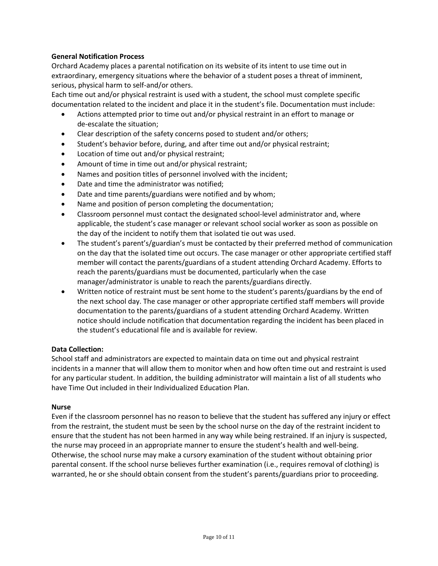# **General Notification Process**

Orchard Academy places a parental notification on its website of its intent to use time out in extraordinary, emergency situations where the behavior of a student poses a threat of imminent, serious, physical harm to self-and/or others.

Each time out and/or physical restraint is used with a student, the school must complete specific documentation related to the incident and place it in the student's file. Documentation must include:

- Actions attempted prior to time out and/or physical restraint in an effort to manage or de-escalate the situation;
- Clear description of the safety concerns posed to student and/or others;
- Student's behavior before, during, and after time out and/or physical restraint;
- Location of time out and/or physical restraint;
- Amount of time in time out and/or physical restraint;
- Names and position titles of personnel involved with the incident;
- Date and time the administrator was notified;
- Date and time parents/guardians were notified and by whom;
- Name and position of person completing the documentation;
- Classroom personnel must contact the designated school-level administrator and, where applicable, the student's case manager or relevant school social worker as soon as possible on the day of the incident to notify them that isolated tie out was used.
- The student's parent's/guardian's must be contacted by their preferred method of communication on the day that the isolated time out occurs. The case manager or other appropriate certified staff member will contact the parents/guardians of a student attending Orchard Academy. Efforts to reach the parents/guardians must be documented, particularly when the case manager/administrator is unable to reach the parents/guardians directly.
- Written notice of restraint must be sent home to the student's parents/guardians by the end of the next school day. The case manager or other appropriate certified staff members will provide documentation to the parents/guardians of a student attending Orchard Academy. Written notice should include notification that documentation regarding the incident has been placed in the student's educational file and is available for review.

### **Data Collection:**

School staff and administrators are expected to maintain data on time out and physical restraint incidents in a manner that will allow them to monitor when and how often time out and restraint is used for any particular student. In addition, the building administrator will maintain a list of all students who have Time Out included in their Individualized Education Plan.

### **Nurse**

Even if the classroom personnel has no reason to believe that the student has suffered any injury or effect from the restraint, the student must be seen by the school nurse on the day of the restraint incident to ensure that the student has not been harmed in any way while being restrained. If an injury is suspected, the nurse may proceed in an appropriate manner to ensure the student's health and well-being. Otherwise, the school nurse may make a cursory examination of the student without obtaining prior parental consent. If the school nurse believes further examination (i.e., requires removal of clothing) is warranted, he or she should obtain consent from the student's parents/guardians prior to proceeding.